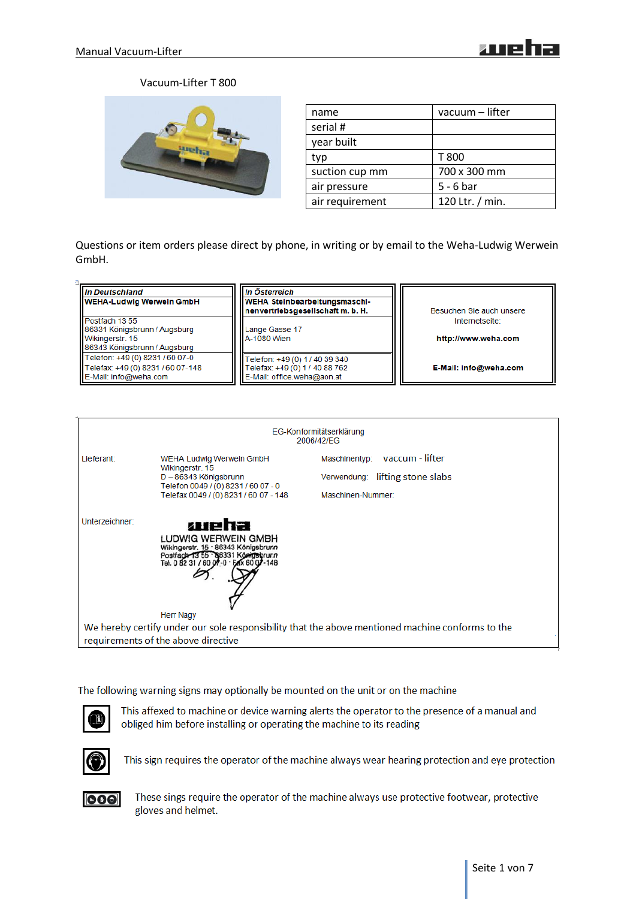# Vacuum-Lifter T 800



| name            | vacuum – lifter |
|-----------------|-----------------|
| serial #        |                 |
| year built      |                 |
| typ             | T 800           |
| suction cup mm  | 700 x 300 mm    |
| air pressure    | $5 - 6$ bar     |
| air requirement | 120 Ltr. / min. |

Questions or item orders please direct by phone, in writing or by email to the Weha-Ludwig Werwein GmbH.

| In Deutschland<br><b>WEHA-Ludwig Werwein GmbH</b>                                             | In Österreich<br>WEHA Steinbearbeitungsmaschi-<br>  nenvertriebsgesellschaft m. b. H.          | Besuchen Sie auch unsere |
|-----------------------------------------------------------------------------------------------|------------------------------------------------------------------------------------------------|--------------------------|
| Postfach 1355                                                                                 |                                                                                                | Internetseite:           |
| 86331 Königsbrunn / Augsburg<br>Wikingerstr. 15<br>86343 Königsbrunn / Augsburg               | Lange Gasse 17<br>A-1080 Wien                                                                  | http://www.weha.com      |
| Telefon: +49 (0) 8231 / 60 07-0<br>Telefax: +49 (0) 8231 / 60 07-148<br>E-Mail: info@weha.com | Telefon: +49 (0) 1 / 40 39 340<br>Telefax: +49 (0) 1 / 40 88 762<br>E-Mail: office.weha@aon.at | E-Mail: info@weha.com    |

| EG-Konformitätserklärung<br>2006/42/EG                                                           |                                                                                                                                                             |                                                                                       |  |  |
|--------------------------------------------------------------------------------------------------|-------------------------------------------------------------------------------------------------------------------------------------------------------------|---------------------------------------------------------------------------------------|--|--|
| Lieferant:                                                                                       | <b>WEHA Ludwig Werwein GmbH</b><br>Wikingerstr. 15<br>D - 86343 Königsbrunn<br>Telefon 0049 / (0) 8231 / 60 07 - 0<br>Telefax 0049 / (0) 8231 / 60 07 - 148 | Maschinentyp: vaccum - lifter<br>Verwendung: lifting stone slabs<br>Maschinen-Nummer: |  |  |
| Unterzeichner:                                                                                   | weha<br>LUDWIG WERWEIN GMBH<br>Wikingerstr. 15 · 86343 Königsbrunn<br>Postfach 13 55 86331 Königsbrunn<br>Tel. 0 82 31 / 60 07 -0 · FAX 60 07 -148          |                                                                                       |  |  |
|                                                                                                  | <b>Herr Nagy</b>                                                                                                                                            |                                                                                       |  |  |
| We hereby certify under our sole responsibility that the above mentioned machine conforms to the |                                                                                                                                                             |                                                                                       |  |  |
| requirements of the above directive                                                              |                                                                                                                                                             |                                                                                       |  |  |

The following warning signs may optionally be mounted on the unit or on the machine



This affexed to machine or device warning alerts the operator to the presence of a manual and obliged him before installing or operating the machine to its reading



This sign requires the operator of the machine always wear hearing protection and eye protection



These sings require the operator of the machine always use protective footwear, protective gloves and helmet.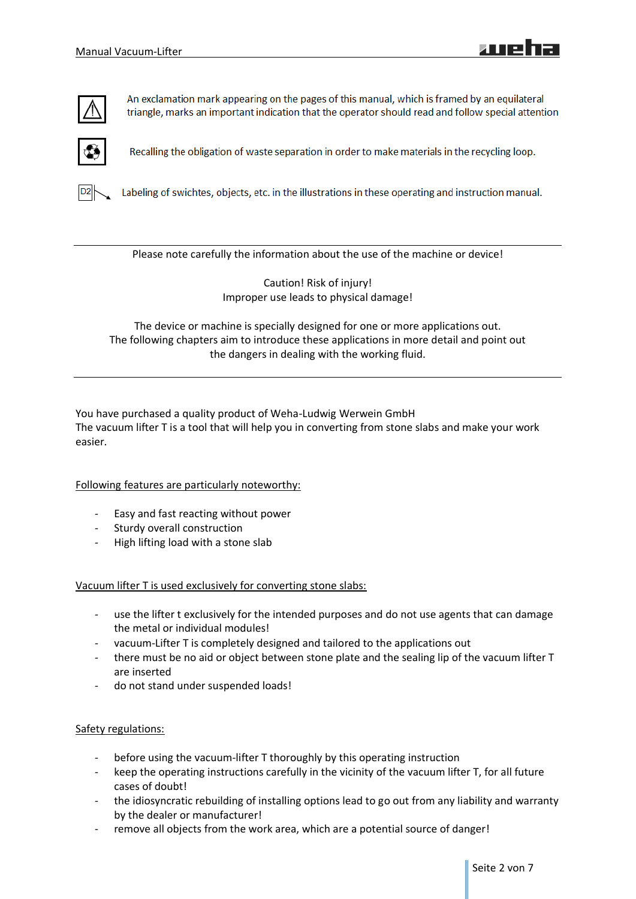

An exclamation mark appearing on the pages of this manual, which is framed by an equilateral triangle, marks an important indication that the operator should read and follow special attention



Recalling the obligation of waste separation in order to make materials in the recycling loop.



Labeling of swichtes, objects, etc. in the illustrations in these operating and instruction manual.

Please note carefully the information about the use of the machine or device!

Caution! Risk of injury! Improper use leads to physical damage!

The device or machine is specially designed for one or more applications out. The following chapters aim to introduce these applications in more detail and point out the dangers in dealing with the working fluid.

You have purchased a quality product of Weha-Ludwig Werwein GmbH The vacuum lifter T is a tool that will help you in converting from stone slabs and make your work easier.

#### Following features are particularly noteworthy:

- Easy and fast reacting without power
- Sturdy overall construction
- High lifting load with a stone slab

Vacuum lifter T is used exclusively for converting stone slabs:

- use the lifter t exclusively for the intended purposes and do not use agents that can damage the metal or individual modules!
- vacuum-Lifter T is completely designed and tailored to the applications out
- there must be no aid or object between stone plate and the sealing lip of the vacuum lifter T are inserted
- do not stand under suspended loads!

#### Safety regulations:

- before using the vacuum-lifter T thoroughly by this operating instruction
- keep the operating instructions carefully in the vicinity of the vacuum lifter T, for all future cases of doubt!
- the idiosyncratic rebuilding of installing options lead to go out from any liability and warranty by the dealer or manufacturer!
- remove all objects from the work area, which are a potential source of danger!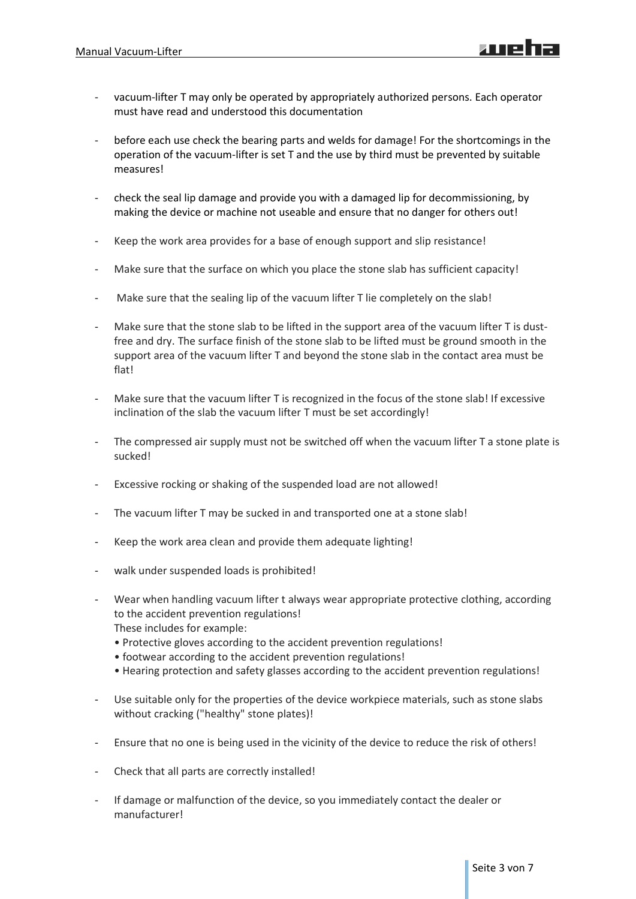- vacuum-lifter T may only be operated by appropriately authorized persons. Each operator must have read and understood this documentation
- before each use check the bearing parts and welds for damage! For the shortcomings in the operation of the vacuum-lifter is set T and the use by third must be prevented by suitable measures!
- check the seal lip damage and provide you with a damaged lip for decommissioning, by making the device or machine not useable and ensure that no danger for others out!
- Keep the work area provides for a base of enough support and slip resistance!
- Make sure that the surface on which you place the stone slab has sufficient capacity!
- Make sure that the sealing lip of the vacuum lifter T lie completely on the slab!
- Make sure that the stone slab to be lifted in the support area of the vacuum lifter T is dustfree and dry. The surface finish of the stone slab to be lifted must be ground smooth in the support area of the vacuum lifter T and beyond the stone slab in the contact area must be flat!
- Make sure that the vacuum lifter T is recognized in the focus of the stone slab! If excessive inclination of the slab the vacuum lifter T must be set accordingly!
- The compressed air supply must not be switched off when the vacuum lifter T a stone plate is sucked!
- Excessive rocking or shaking of the suspended load are not allowed!
- The vacuum lifter T may be sucked in and transported one at a stone slab!
- Keep the work area clean and provide them adequate lighting!
- walk under suspended loads is prohibited!
- Wear when handling vacuum lifter t always wear appropriate protective clothing, according to the accident prevention regulations! These includes for example:
	- Protective gloves according to the accident prevention regulations!
	- footwear according to the accident prevention regulations!
	- Hearing protection and safety glasses according to the accident prevention regulations!
- Use suitable only for the properties of the device workpiece materials, such as stone slabs without cracking ("healthy" stone plates)!
- Ensure that no one is being used in the vicinity of the device to reduce the risk of others!
- Check that all parts are correctly installed!
- If damage or malfunction of the device, so you immediately contact the dealer or manufacturer!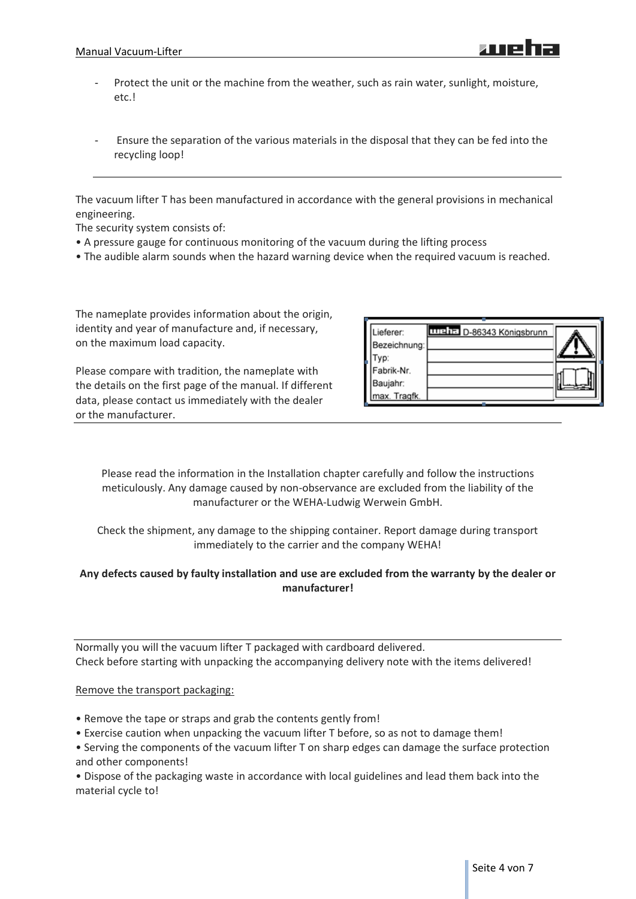- Protect the unit or the machine from the weather, such as rain water, sunlight, moisture, etc.!
- Ensure the separation of the various materials in the disposal that they can be fed into the recycling loop!

The vacuum lifter T has been manufactured in accordance with the general provisions in mechanical engineering.

The security system consists of:

- A pressure gauge for continuous monitoring of the vacuum during the lifting process
- The audible alarm sounds when the hazard warning device when the required vacuum is reached.

The nameplate provides information about the origin, identity and year of manufacture and, if necessary, on the maximum load capacity.

Please compare with tradition, the nameplate with the details on the first page of the manual. If different data, please contact us immediately with the dealer or the manufacturer.

| .ieferer:<br>Bezeichnung:<br>VD.       | <b>THE D-86343 Königsbrunn</b> |  |
|----------------------------------------|--------------------------------|--|
| Fabrik-Nr.<br>Baujahr:<br>max. Tragfk. |                                |  |

Please read the information in the Installation chapter carefully and follow the instructions meticulously. Any damage caused by non-observance are excluded from the liability of the manufacturer or the WEHA-Ludwig Werwein GmbH.

Check the shipment, any damage to the shipping container. Report damage during transport immediately to the carrier and the company WEHA!

# **Any defects caused by faulty installation and use are excluded from the warranty by the dealer or manufacturer!**

Normally you will the vacuum lifter T packaged with cardboard delivered. Check before starting with unpacking the accompanying delivery note with the items delivered!

#### Remove the transport packaging:

- Remove the tape or straps and grab the contents gently from!
- Exercise caution when unpacking the vacuum lifter T before, so as not to damage them!
- Serving the components of the vacuum lifter T on sharp edges can damage the surface protection and other components!

• Dispose of the packaging waste in accordance with local guidelines and lead them back into the material cycle to!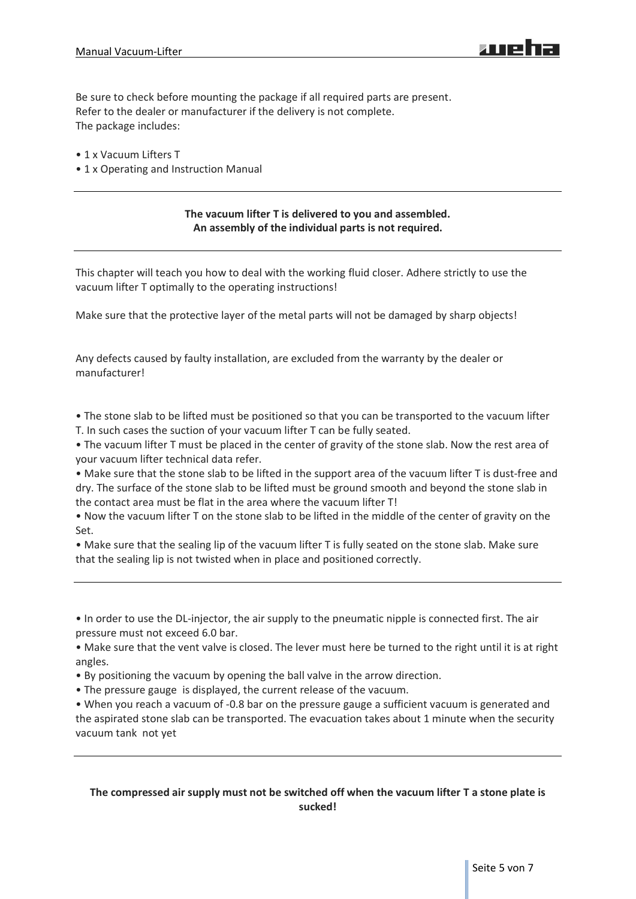Be sure to check before mounting the package if all required parts are present. Refer to the dealer or manufacturer if the delivery is not complete. The package includes:

- 1 x Vacuum Lifters T
- 1 x Operating and Instruction Manual

## **The vacuum lifter T is delivered to you and assembled. An assembly of the individual parts is not required.**

This chapter will teach you how to deal with the working fluid closer. Adhere strictly to use the vacuum lifter T optimally to the operating instructions!

Make sure that the protective layer of the metal parts will not be damaged by sharp objects!

Any defects caused by faulty installation, are excluded from the warranty by the dealer or manufacturer!

• The stone slab to be lifted must be positioned so that you can be transported to the vacuum lifter T. In such cases the suction of your vacuum lifter T can be fully seated.

• The vacuum lifter T must be placed in the center of gravity of the stone slab. Now the rest area of your vacuum lifter technical data refer.

• Make sure that the stone slab to be lifted in the support area of the vacuum lifter T is dust-free and dry. The surface of the stone slab to be lifted must be ground smooth and beyond the stone slab in the contact area must be flat in the area where the vacuum lifter T!

• Now the vacuum lifter T on the stone slab to be lifted in the middle of the center of gravity on the Set.

• Make sure that the sealing lip of the vacuum lifter T is fully seated on the stone slab. Make sure that the sealing lip is not twisted when in place and positioned correctly.

• In order to use the DL-injector, the air supply to the pneumatic nipple is connected first. The air pressure must not exceed 6.0 bar.

• Make sure that the vent valve is closed. The lever must here be turned to the right until it is at right angles.

- By positioning the vacuum by opening the ball valve in the arrow direction.
- The pressure gauge is displayed, the current release of the vacuum.

• When you reach a vacuum of -0.8 bar on the pressure gauge a sufficient vacuum is generated and the aspirated stone slab can be transported. The evacuation takes about 1 minute when the security vacuum tank not yet

## **The compressed air supply must not be switched off when the vacuum lifter T a stone plate is sucked!**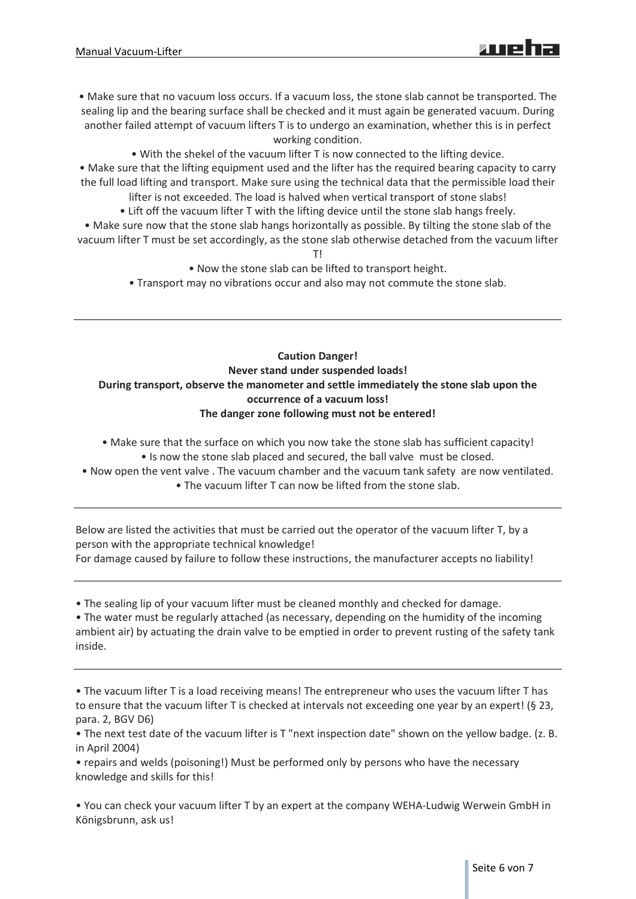- Make sure that no vacuum loss occurs. If a vacuum loss, the stone slab cannot be transported. The sealing lip and the bearing surface shall be checked and it must again be generated vacuum. During another failed attempt of vacuum lifters T is to undergo an examination, whether this is in perfect working condition.
	- With the shekel of the vacuum lifter T is now connected to the lifting device.
- Make sure that the lifting equipment used and the lifter has the required bearing capacity to carry the full load lifting and transport. Make sure using the technical data that the permissible load their lifter is not exceeded. The load is halved when vertical transport of stone slabs!
	- Lift off the vacuum lifter T with the lifting device until the stone slab hangs freely.
- Make sure now that the stone slab hangs horizontally as possible. By tilting the stone slab of the vacuum lifter T must be set accordingly, as the stone slab otherwise detached from the vacuum lifter

T!

- Now the stone slab can be lifted to transport height.
- Transport may no vibrations occur and also may not commute the stone slab.

# **Caution Danger! Never stand under suspended loads! During transport, observe the manometer and settle immediately the stone slab upon the occurrence of a vacuum loss! The danger zone following must not be entered!**

- Make sure that the surface on which you now take the stone slab has sufficient capacity!
	- Is now the stone slab placed and secured, the ball valve must be closed.
- Now open the vent valve . The vacuum chamber and the vacuum tank safety are now ventilated. • The vacuum lifter T can now be lifted from the stone slab.

Below are listed the activities that must be carried out the operator of the vacuum lifter T, by a person with the appropriate technical knowledge! For damage caused by failure to follow these instructions, the manufacturer accepts no liability!

• The sealing lip of your vacuum lifter must be cleaned monthly and checked for damage.

• The water must be regularly attached (as necessary, depending on the humidity of the incoming ambient air) by actuating the drain valve to be emptied in order to prevent rusting of the safety tank inside.

• The vacuum lifter T is a load receiving means! The entrepreneur who uses the vacuum lifter T has to ensure that the vacuum lifter T is checked at intervals not exceeding one year by an expert! (§ 23, para. 2, BGV D6)

• The next test date of the vacuum lifter is T "next inspection date" shown on the yellow badge. (z. B. in April 2004)

• repairs and welds (poisoning!) Must be performed only by persons who have the necessary knowledge and skills for this!

• You can check your vacuum lifter T by an expert at the company WEHA-Ludwig Werwein GmbH in Königsbrunn, ask us!